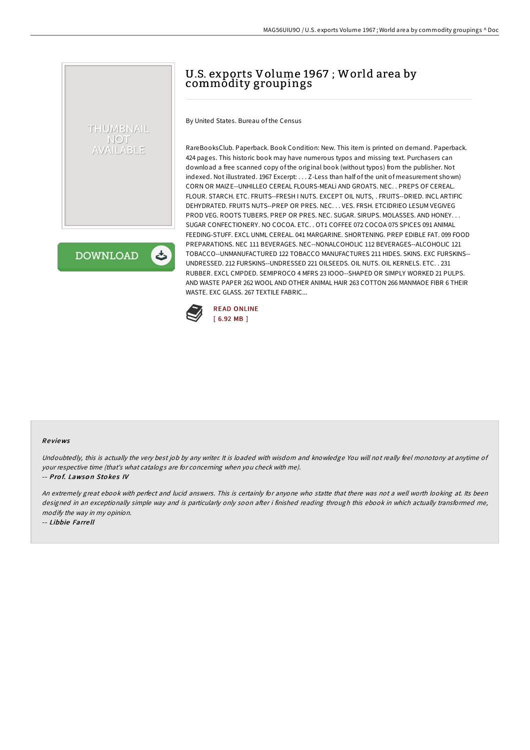# U.S. exports Volume 1967 ; World area by commodity groupings

By United States. Bureau of the Census

RareBooksClub. Paperback. Book Condition: New. This item is printed on demand. Paperback. 424 pages. This historic book may have numerous typos and missing text. Purchasers can download a free scanned copy of the original book (without typos) from the publisher. Not indexed. Not illustrated. 1967 Excerpt: . . . Z-Less than half of the unit of measurement shown) CORN OR MAIZE--UNHILLEO CEREAL FLOURS-MEALi AND GROATS. NEC. . PREPS OF CEREAL. FLOUR. STARCH. ETC. FRUITS--FRESH I NUTS. EXCEPT OIL NUTS, . FRUITS--DRIED. INCL ARTIFIC DEHYDRATED. FRUITS NUTS--PREP OR PRES. NEC. . . VES. FRSH. ETCIDRIEO LESUM VEGIVEG PROD VEG. ROOTS TUBERS. PREP OR PRES. NEC. SUGAR. SIRUPS. MOLASSES. AND HONEY. . . SUGAR CONFECTIONERY. NO COCOA. ETC. . OT1 COFFEE 072 COCOA 075 SPICES 091 ANIMAL FEEDING-STUFF. EXCL UNML CEREAL. 041 MARGARINE. SHORTENING. PREP EDIBLE FAT. 099 FOOD PREPARATIONS. NEC 111 BEVERAGES. NEC--NONALCOHOLIC 112 BEVERAGES--ALCOHOLIC 121 TOBACCO--UNMANUFACTURED 122 TOBACCO MANUFACTURES 211 HIDES. SKINS. EXC FURSKINS-- UNDRESSED. 212 FURSKINS--UNDRESSED 221 OILSEEDS. OIL NUTS. OIL KERNELS. ETC. . 231 RUBBER. EXCL CMPDED. SEMIPROCO 4 MFRS 23 IOOO--SHAPED OR SIMPLY WORKED 21 PULPS. AND WASTE PAPER 262 WOOL AND OTHER ANIMAL HAIR 263 COTTON 266 MANMAOE FIBR 6 THEIR WASTE. EXC GLASS. 267 TEXTILE FABRIC...



#### Re views

Undoubtedly, this is actually the very best job by any writer. It is loaded with wisdom and knowledge You will not really feel monotony at anytime of your respective time (that's what catalogs are for concerning when you check with me).

#### -- Prof. Lawson Stokes IV

THUMBNAIL **NOT AILABLE** 

**DOWNLOAD** 

An extremely great ebook with perfect and lucid answers. This is certainly for anyone who statte that there was not <sup>a</sup> well worth looking at. Its been designed in an exceptionally simple way and is particularly only soon after i finished reading through this ebook in which actually transformed me, modify the way in my opinion.

-- Libbie Farre ll